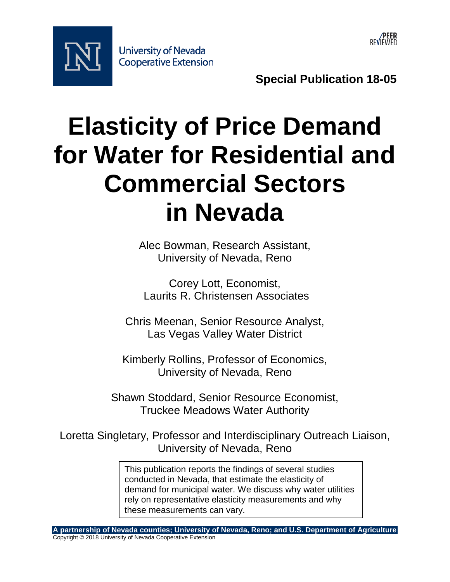



**Special Publication 18-05** 

# **Elasticity of Price Demand for Water for Residential and Commercial Sectors in Nevada**

Alec Bowman, Research Assistant, University of Nevada, Reno

Corey Lott, Economist, Laurits R. Christensen Associates

Chris Meenan, Senior Resource Analyst, Las Vegas Valley Water District

Kimberly Rollins, Professor of Economics, University of Nevada, Reno

Shawn Stoddard, Senior Resource Economist, Truckee Meadows Water Authority

Loretta Singletary, Professor and Interdisciplinary Outreach Liaison, University of Nevada, Reno

> demand for municipal water. We discuss why water utilities This publication reports the findings of several studies conducted in Nevada, that estimate the elasticity of rely on representative elasticity measurements and why these measurements can vary.

**A partnership of Nevada counties; University of Nevada, Reno; and U.S. Department of Agriculture** Copyright © 2018 University of Nevada Cooperative Extension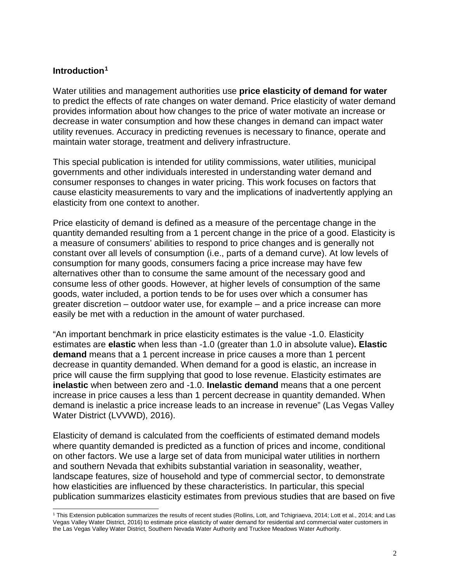#### **Introduction1**

 $\overline{a}$ 

Water utilities and management authorities use **price elasticity of demand for water**  to predict the effects of rate changes on water demand. Price elasticity of water demand provides information about how changes to the price of water motivate an increase or decrease in water consumption and how these changes in demand can impact water utility revenues. Accuracy in predicting revenues is necessary to finance, operate and maintain water storage, treatment and delivery infrastructure.

 cause elasticity measurements to vary and the implications of inadvertently applying an elasticity from one context to another. This special publication is intended for utility commissions, water utilities, municipal governments and other individuals interested in understanding water demand and consumer responses to changes in water pricing. This work focuses on factors that

 goods, water included, a portion tends to be for uses over which a consumer has greater discretion – outdoor water use, for example – and a price increase can more Price elasticity of demand is defined as a measure of the percentage change in the quantity demanded resulting from a 1 percent change in the price of a good. Elasticity is a measure of consumers' abilities to respond to price changes and is generally not constant over all levels of consumption (i.e., parts of a demand curve). At low levels of consumption for many goods, consumers facing a price increase may have few alternatives other than to consume the same amount of the necessary good and consume less of other goods. However, at higher levels of consumption of the same easily be met with a reduction in the amount of water purchased.

 **demand** means that a 1 percent increase in price causes a more than 1 percent increase in price causes a less than 1 percent decrease in quantity demanded. When Water District (LVVWD), 2016). "An important benchmark in price elasticity estimates is the value -1.0. Elasticity estimates are **elastic** when less than -1.0 (greater than 1.0 in absolute value)**. Elastic**  decrease in quantity demanded. When demand for a good is elastic, an increase in price will cause the firm supplying that good to lose revenue. Elasticity estimates are **inelastic** when between zero and -1.0. **Inelastic demand** means that a one percent demand is inelastic a price increase leads to an increase in revenue" (Las Vegas Valley

Water District (LVVWD), 2016).<br>Elasticity of demand is calculated from the coefficients of estimated demand models and southern Nevada that exhibits substantial variation in seasonality, weather, how elasticities are influenced by these characteristics. In particular, this special publication summarizes elasticity estimates from previous studies that are based on five where quantity demanded is predicted as a function of prices and income, conditional on other factors. We use a large set of data from municipal water utilities in northern landscape features, size of household and type of commercial sector, to demonstrate

 Vegas Valley Water District, 2016) to estimate price elasticity of water demand for residential and commercial water customers in the Las Vegas Valley Water District, Southern Nevada Water Authority and Truckee Meadows Water Authority. 1 This Extension publication summarizes the results of recent studies (Rollins, Lott, and Tchigriaeva, 2014; Lott et al., 2014; and Las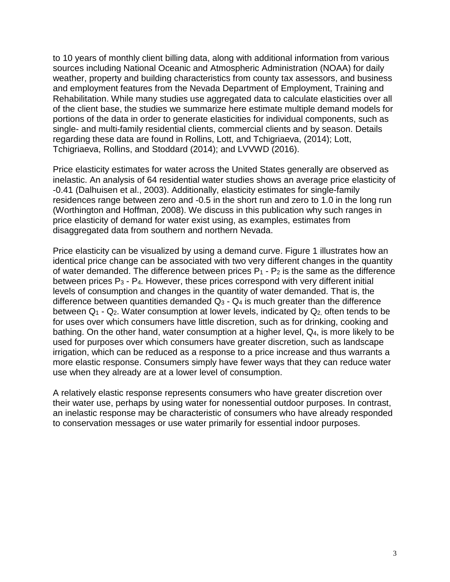sources including National Oceanic and Atmospheric Administration (NOAA) for daily and employment features from the Nevada Department of Employment, Training and of the client base, the studies we summarize here estimate multiple demand models for single- and multi-family residential clients, commercial clients and by season. Details to 10 years of monthly client billing data, along with additional information from various weather, property and building characteristics from county tax assessors, and business Rehabilitation. While many studies use aggregated data to calculate elasticities over all portions of the data in order to generate elasticities for individual components, such as regarding these data are found in Rollins, Lott, and Tchigriaeva, (2014); Lott, Tchigriaeva, Rollins, and Stoddard (2014); and LVVWD (2016).

 -0.41 (Dalhuisen et al., 2003). Additionally, elasticity estimates for single-family Price elasticity estimates for water across the United States generally are observed as inelastic. An analysis of 64 residential water studies shows an average price elasticity of residences range between zero and -0.5 in the short run and zero to 1.0 in the long run (Worthington and Hoffman, 2008). We discuss in this publication why such ranges in price elasticity of demand for water exist using, as examples, estimates from disaggregated data from southern and northern Nevada.

of water demanded. The difference between prices  $P_1$  -  $P_2$  is the same as the difference between prices P3 - P4. However, these prices correspond with very different initial difference between quantities demanded  $Q_3$  -  $Q_4$  is much greater than the difference between Q<sub>1</sub> - Q<sub>2</sub>. Water consumption at lower levels, indicated by Q<sub>2</sub>, often tends to be for uses over which consumers have little discretion, such as for drinking, cooking and bathing. On the other hand, water consumption at a higher level, Q4, is more likely to be Price elasticity can be visualized by using a demand curve. Figure 1 illustrates how an identical price change can be associated with two very different changes in the quantity levels of consumption and changes in the quantity of water demanded. That is, the used for purposes over which consumers have greater discretion, such as landscape irrigation, which can be reduced as a response to a price increase and thus warrants a more elastic response. Consumers simply have fewer ways that they can reduce water use when they already are at a lower level of consumption.

 A relatively elastic response represents consumers who have greater discretion over an inelastic response may be characteristic of consumers who have already responded their water use, perhaps by using water for nonessential outdoor purposes. In contrast, to conservation messages or use water primarily for essential indoor purposes.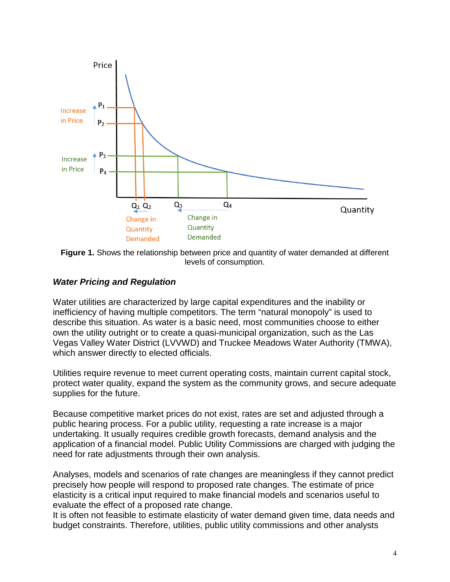

**Figure 1.** Shows the relationship between price and quantity of water demanded at different levels of consumption.

#### *Water Pricing and Regulation*

 own the utility outright or to create a quasi-municipal organization, such as the Las which answer directly to elected officials. Water utilities are characterized by large capital expenditures and the inability or inefficiency of having multiple competitors. The term "natural monopoly" is used to describe this situation. As water is a basic need, most communities choose to either Vegas Valley Water District (LVVWD) and Truckee Meadows Water Authority (TMWA),

supplies for the future. Utilities require revenue to meet current operating costs, maintain current capital stock, protect water quality, expand the system as the community grows, and secure adequate

 public hearing process. For a public utility, requesting a rate increase is a major undertaking. It usually requires credible growth forecasts, demand analysis and the Because competitive market prices do not exist, rates are set and adjusted through a application of a financial model. Public Utility Commissions are charged with judging the need for rate adjustments through their own analysis.

 elasticity is a critical input required to make financial models and scenarios useful to Analyses, models and scenarios of rate changes are meaningless if they cannot predict precisely how people will respond to proposed rate changes. The estimate of price evaluate the effect of a proposed rate change.

 budget constraints. Therefore, utilities, public utility commissions and other analysts It is often not feasible to estimate elasticity of water demand given time, data needs and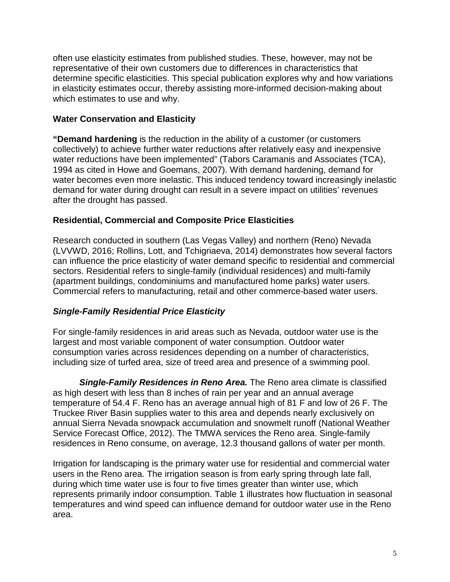often use elasticity estimates from published studies. These, however, may not be representative of their own customers due to differences in characteristics that determine specific elasticities. This special publication explores why and how variations in elasticity estimates occur, thereby assisting more-informed decision-making about which estimates to use and why.

#### **Water Conservation and Elasticity**

 1994 as cited in Howe and Goemans, 2007). With demand hardening, demand for demand for water during drought can result in a severe impact on utilities' revenues **"Demand hardening** is the reduction in the ability of a customer (or customers collectively) to achieve further water reductions after relatively easy and inexpensive water reductions have been implemented" (Tabors Caramanis and Associates (TCA), water becomes even more inelastic. This induced tendency toward increasingly inelastic after the drought has passed.

#### **Residential, Commercial and Composite Price Elasticities**

 (LVVWD, 2016; Rollins, Lott, and Tchigriaeva, 2014) demonstrates how several factors (apartment buildings, condominiums and manufactured home parks) water users. Research conducted in southern (Las Vegas Valley) and northern (Reno) Nevada can influence the price elasticity of water demand specific to residential and commercial sectors. Residential refers to single-family (individual residences) and multi-family Commercial refers to manufacturing, retail and other commerce-based water users.

## *Single-Family Residential Price Elasticity*

For single-family residences in arid areas such as Nevada, outdoor water use is the largest and most variable component of water consumption. Outdoor water consumption varies across residences depending on a number of characteristics, including size of turfed area, size of treed area and presence of a swimming pool.

 annual Sierra Nevada snowpack accumulation and snowmelt runoff (National Weather Service Forecast Office, 2012). The TMWA services the Reno area. Single-family *Single-Family Residences in Reno Area.* The Reno area climate is classified as high desert with less than 8 inches of rain per year and an annual average temperature of 54.4 F. Reno has an average annual high of 81 F and low of 26 F. The Truckee River Basin supplies water to this area and depends nearly exclusively on residences in Reno consume, on average, 12.3 thousand gallons of water per month.

 users in the Reno area. The irrigation season is from early spring through late fall, during which time water use is four to five times greater than winter use, which Irrigation for landscaping is the primary water use for residential and commercial water represents primarily indoor consumption. Table 1 illustrates how fluctuation in seasonal temperatures and wind speed can influence demand for outdoor water use in the Reno area.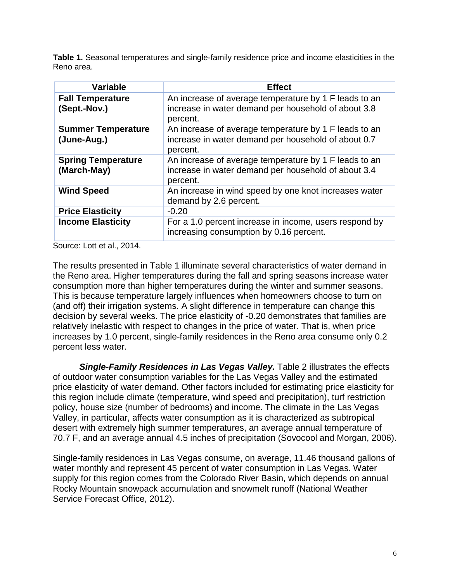**Table 1.** Seasonal temperatures and single-family residence price and income elasticities in the Reno area.

| <b>Variable</b>                          | <b>Effect</b>                                                                                                            |
|------------------------------------------|--------------------------------------------------------------------------------------------------------------------------|
| <b>Fall Temperature</b><br>(Sept.-Nov.)  | An increase of average temperature by 1 F leads to an<br>increase in water demand per household of about 3.8<br>percent. |
| <b>Summer Temperature</b><br>(June-Aug.) | An increase of average temperature by 1 F leads to an<br>increase in water demand per household of about 0.7<br>percent. |
| <b>Spring Temperature</b><br>(March-May) | An increase of average temperature by 1 F leads to an<br>increase in water demand per household of about 3.4<br>percent. |
| <b>Wind Speed</b>                        | An increase in wind speed by one knot increases water<br>demand by 2.6 percent.                                          |
| <b>Price Elasticity</b>                  | $-0.20$                                                                                                                  |
| <b>Income Elasticity</b>                 | For a 1.0 percent increase in income, users respond by<br>increasing consumption by 0.16 percent.                        |

Source: Lott et al., 2014.

 decision by several weeks. The price elasticity of -0.20 demonstrates that families are increases by 1.0 percent, single-family residences in the Reno area consume only 0.2 The results presented in Table 1 illuminate several characteristics of water demand in the Reno area. Higher temperatures during the fall and spring seasons increase water consumption more than higher temperatures during the winter and summer seasons. This is because temperature largely influences when homeowners choose to turn on (and off) their irrigation systems. A slight difference in temperature can change this relatively inelastic with respect to changes in the price of water. That is, when price percent less water.

 policy, house size (number of bedrooms) and income. The climate in the Las Vegas *Single-Family Residences in Las Vegas Valley.* Table 2 illustrates the effects of outdoor water consumption variables for the Las Vegas Valley and the estimated price elasticity of water demand. Other factors included for estimating price elasticity for this region include climate (temperature, wind speed and precipitation), turf restriction Valley, in particular, affects water consumption as it is characterized as subtropical desert with extremely high summer temperatures, an average annual temperature of 70.7 F, and an average annual 4.5 inches of precipitation (Sovocool and Morgan, 2006).

 water monthly and represent 45 percent of water consumption in Las Vegas. Water Rocky Mountain snowpack accumulation and snowmelt runoff (National Weather Service Forecast Office, 2012). Single-family residences in Las Vegas consume, on average, 11.46 thousand gallons of supply for this region comes from the Colorado River Basin, which depends on annual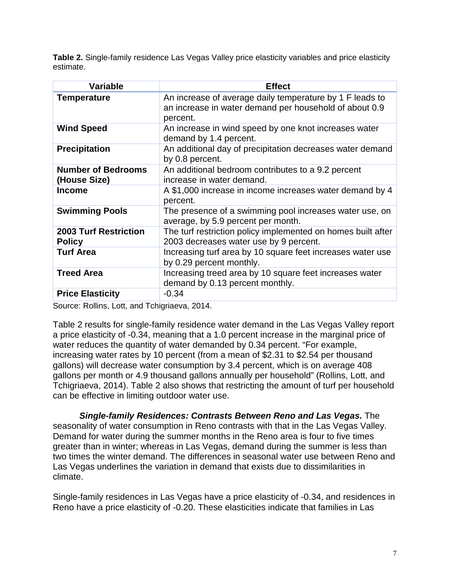**Table 2.** Single-family residence Las Vegas Valley price elasticity variables and price elasticity estimate.

| <b>Variable</b>                               | <b>Effect</b>                                                                                                                  |
|-----------------------------------------------|--------------------------------------------------------------------------------------------------------------------------------|
| <b>Temperature</b>                            | An increase of average daily temperature by 1 F leads to<br>an increase in water demand per household of about 0.9<br>percent. |
| <b>Wind Speed</b>                             | An increase in wind speed by one knot increases water<br>demand by 1.4 percent.                                                |
| <b>Precipitation</b>                          | An additional day of precipitation decreases water demand<br>by 0.8 percent.                                                   |
| <b>Number of Bedrooms</b><br>(House Size)     | An additional bedroom contributes to a 9.2 percent<br>increase in water demand.                                                |
| <b>Income</b>                                 | A \$1,000 increase in income increases water demand by 4<br>percent.                                                           |
| <b>Swimming Pools</b>                         | The presence of a swimming pool increases water use, on<br>average, by 5.9 percent per month.                                  |
| <b>2003 Turf Restriction</b><br><b>Policy</b> | The turf restriction policy implemented on homes built after<br>2003 decreases water use by 9 percent.                         |
| <b>Turf Area</b>                              | Increasing turf area by 10 square feet increases water use<br>by 0.29 percent monthly.                                         |
| <b>Treed Area</b>                             | Increasing treed area by 10 square feet increases water<br>demand by 0.13 percent monthly.                                     |
| <b>Price Elasticity</b>                       | $-0.34$                                                                                                                        |

Source: Rollins, Lott, and Tchigriaeva, 2014.

 gallons per month or 4.9 thousand gallons annually per household" (Rollins, Lott, and Tchigriaeva, 2014). Table 2 also shows that restricting the amount of turf per household can be effective in limiting outdoor water use. Table 2 results for single-family residence water demand in the Las Vegas Valley report a price elasticity of -0.34, meaning that a 1.0 percent increase in the marginal price of water reduces the quantity of water demanded by 0.34 percent. "For example, increasing water rates by 10 percent (from a mean of \$2.31 to \$2.54 per thousand gallons) will decrease water consumption by 3.4 percent, which is on average 408

 Las Vegas underlines the variation in demand that exists due to dissimilarities in *Single-family Residences: Contrasts Between Reno and Las Vegas.* The seasonality of water consumption in Reno contrasts with that in the Las Vegas Valley. Demand for water during the summer months in the Reno area is four to five times greater than in winter; whereas in Las Vegas, demand during the summer is less than two times the winter demand. The differences in seasonal water use between Reno and climate.

 Reno have a price elasticity of -0.20. These elasticities indicate that families in Las Single-family residences in Las Vegas have a price elasticity of -0.34, and residences in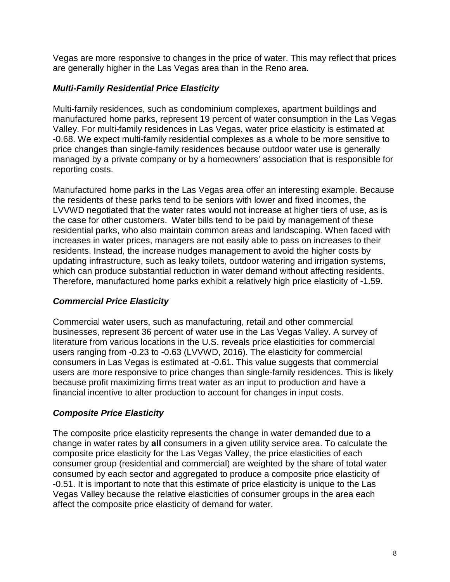Vegas are more responsive to changes in the price of water. This may reflect that prices are generally higher in the Las Vegas area than in the Reno area.

## *Multi-Family Residential Price Elasticity*

 manufactured home parks, represent 19 percent of water consumption in the Las Vegas Multi-family residences, such as condominium complexes, apartment buildings and Valley. For multi-family residences in Las Vegas, water price elasticity is estimated at -0.68. We expect multi-family residential complexes as a whole to be more sensitive to price changes than single-family residences because outdoor water use is generally managed by a private company or by a homeowners' association that is responsible for reporting costs.

 LVVWD negotiated that the water rates would not increase at higher tiers of use, as is the case for other customers. Water bills tend to be paid by management of these increases in water prices, managers are not easily able to pass on increases to their which can produce substantial reduction in water demand without affecting residents. Therefore, manufactured home parks exhibit a relatively high price elasticity of -1.59. Manufactured home parks in the Las Vegas area offer an interesting example. Because the residents of these parks tend to be seniors with lower and fixed incomes, the residential parks, who also maintain common areas and landscaping. When faced with residents. Instead, the increase nudges management to avoid the higher costs by updating infrastructure, such as leaky toilets, outdoor watering and irrigation systems,

## *Commercial Price Elasticity*

 consumers in Las Vegas is estimated at -0.61. This value suggests that commercial financial incentive to alter production to account for changes in input costs. Commercial water users, such as manufacturing, retail and other commercial businesses, represent 36 percent of water use in the Las Vegas Valley. A survey of literature from various locations in the U.S. reveals price elasticities for commercial users ranging from -0.23 to -0.63 (LVVWD, 2016). The elasticity for commercial users are more responsive to price changes than single-family residences. This is likely because profit maximizing firms treat water as an input to production and have a

## *Composite Price Elasticity*

 change in water rates by **all** consumers in a given utility service area. To calculate the composite price elasticity for the Las Vegas Valley, the price elasticities of each The composite price elasticity represents the change in water demanded due to a consumer group (residential and commercial) are weighted by the share of total water consumed by each sector and aggregated to produce a composite price elasticity of -0.51. It is important to note that this estimate of price elasticity is unique to the Las Vegas Valley because the relative elasticities of consumer groups in the area each affect the composite price elasticity of demand for water.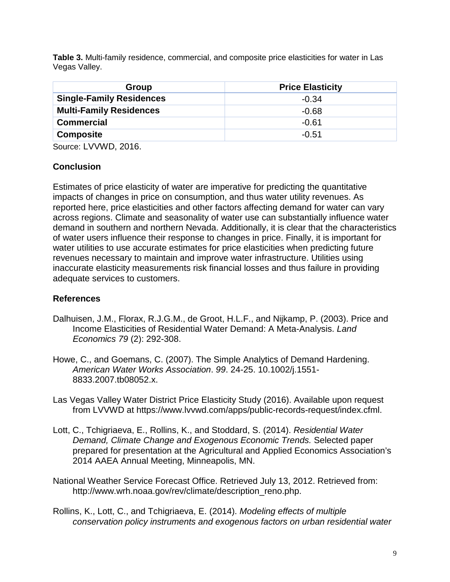**Table 3.** Multi-family residence, commercial, and composite price elasticities for water in Las Vegas Valley.

| Group                           | <b>Price Elasticity</b> |
|---------------------------------|-------------------------|
| <b>Single-Family Residences</b> | $-0.34$                 |
| <b>Multi-Family Residences</b>  | $-0.68$                 |
| <b>Commercial</b>               | $-0.61$                 |
| <b>Composite</b>                | $-0.51$                 |

Source: LVVWD, 2016.

#### **Conclusion**

 of water users influence their response to changes in price. Finally, it is important for inaccurate elasticity measurements risk financial losses and thus failure in providing Estimates of price elasticity of water are imperative for predicting the quantitative impacts of changes in price on consumption, and thus water utility revenues. As reported here, price elasticities and other factors affecting demand for water can vary across regions. Climate and seasonality of water use can substantially influence water demand in southern and northern Nevada. Additionally, it is clear that the characteristics water utilities to use accurate estimates for price elasticities when predicting future revenues necessary to maintain and improve water infrastructure. Utilities using adequate services to customers.

## **References**

- Income Elasticities of Residential Water Demand: A Meta-Analysis. *Land*  Dalhuisen, J.M., Florax, R.J.G.M., de Groot, H.L.F., and Nijkamp, P. (2003). Price and *Economics 79* (2): 292-308.
- Howe, C., and Goemans, C. (2007). The Simple Analytics of Demand Hardening. *American Water Works Association*. *99*. 24-25. 10.1002/j.1551- 8833.2007.tb08052.x.
- from LVVWD at https://www.lvvwd.com/apps/public-records-request/index.cfml. Las Vegas Valley Water District Price Elasticity Study (2016). Available upon request
- Lott, C., Tchigriaeva, E., Rollins, K., and Stoddard, S. (2014). *Residential Water Demand, Climate Change and Exogenous Economic Trends.* Selected paper prepared for presentation at the Agricultural and Applied Economics Association's 2014 AAEA Annual Meeting, Minneapolis, MN.
- National Weather Service Forecast Office. Retrieved July 13, 2012. Retrieved from: [http://www.wrh.noaa.gov/rev/climate/description\\_reno.php.](http://www.wrh.noaa.gov/rev/climate/description_reno.php)
- *conservation policy instruments and exogenous factors on urban residential water*  Rollins, K., Lott, C., and Tchigriaeva, E. (2014). *Modeling effects of multiple*